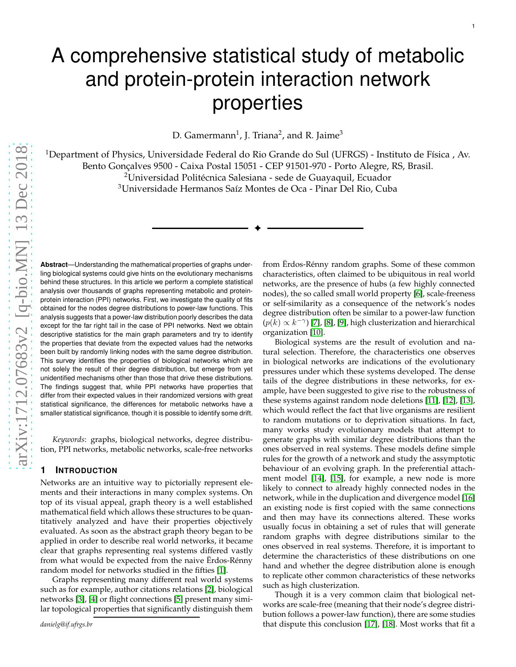# A comprehensive statistical study of metabolic and protein-protein interaction network properties

D. Gamermann<sup>1</sup>, J. Triana<sup>2</sup>, and R. Jaime<sup>3</sup>

<sup>1</sup>Department of Physics, Universidade Federal do Rio Grande do Sul (UFRGS) - Instituto de Física , Av. Bento Gonçalves 9500 - Caixa Postal 15051 - CEP 91501-970 - Porto Alegre, RS, Brasil.

<sup>2</sup> Universidad Politécnica Salesiana - sede de Guayaquil, Ecuador

<sup>3</sup>Universidade Hermanos Saíz Montes de Oca - Pinar Del Rio, Cuba

✦

**Abstract**—Understanding the mathematical properties of graphs underling biological systems could give hints on the evolutionary mechanisms behind these structures. In this article we perform a complete statistical analysis over thousands of graphs representing metabolic and proteinprotein interaction (PPI) networks. First, we investigate the quality of fits obtained for the nodes degree distributions to power-law functions. This analysis suggests that a power-law distribution poorly describes the data except for the far right tail in the case of PPI networks. Next we obtain descriptive statistics for the main graph parameters and try to identify the properties that deviate from the expected values had the networks been built by randomly linking nodes with the same degree distribution. This survey identifies the properties of biological networks which are not solely the result of their degree distribution, but emerge from yet unidentified mechanisms other than those that drive these distributions. The findings suggest that, while PPI networks have properties that differ from their expected values in their randomized versions with great statistical significance, the differences for metabolic networks have a smaller statistical significance, though it is possible to identify some drift.

*Keywords*: graphs, biological networks, degree distribution, PPI networks, metabolic networks, scale-free networks

# **1 INTRODUCTION**

Networks are an intuitive way to pictorially represent elements and their interactions in many complex systems. On top of its visual appeal, graph theory is a well established mathematical field which allows these structures to be quantitatively analyzed and have their properties objectively evaluated. As soon as the abstract graph theory began to be applied in order to describe real world networks, it became clear that graphs representing real systems differed vastly from what would be expected from the naive Erdos-Rénny random model for networks studied in the fifties [\[1\]](#page-8-0).

Graphs representing many different real world systems such as for example, author citations relations [\[2\]](#page-8-1), biological networks [\[3\]](#page-8-2), [\[4\]](#page-8-3) or flight connections [\[5\]](#page-8-4) present many similar topological properties that significantly distinguish them

from Erdos-Rénny random graphs. Some of these common characteristics, often claimed to be ubiquitous in real world networks, are the presence of hubs (a few highly connected nodes), the so called small world property [\[6\]](#page-8-5), scale-freeness or self-similarity as a consequence of the network's nodes degree distribution often be similar to a power-law function  $(p(\bar{k}) \propto k^{-\gamma})$  [\[7\]](#page-8-6), [\[8\]](#page-8-7), [\[9\]](#page-8-8), high clusterization and hierarchical organization [\[10\]](#page-8-9).

Biological systems are the result of evolution and natural selection. Therefore, the characteristics one observes in biological networks are indications of the evolutionary pressures under which these systems developed. The dense tails of the degree distributions in these networks, for example, have been suggested to give rise to the robustness of these systems against random node deletions [\[11\]](#page-8-10), [\[12\]](#page-8-11), [\[13\]](#page-8-12), which would reflect the fact that live organisms are resilient to random mutations or to deprivation situations. In fact, many works study evolutionary models that attempt to generate graphs with similar degree distributions than the ones observed in real systems. These models define simple rules for the growth of a network and study the assymptotic behaviour of an evolving graph. In the preferential attachment model [\[14\]](#page-8-13), [\[15\]](#page-8-14), for example, a new node is more likely to connect to already highly connected nodes in the network, while in the duplication and divergence model [\[16\]](#page-8-15) an existing node is first copied with the same connections and then may have its connections altered. These works usually focus in obtaining a set of rules that will generate random graphs with degree distributions similar to the ones observed in real systems. Therefore, it is important to determine the characteristics of these distributions on one hand and whether the degree distribution alone is enough to replicate other common characteristics of these networks such as high clusterization.

Though it is a very common claim that biological networks are scale-free (meaning that their node's degree distribution follows a power-law function), there are some studies that dispute this conclusion [\[17\]](#page-8-16), [\[18\]](#page-8-17). Most works that fit a

*danielg@if.ufrgs.br*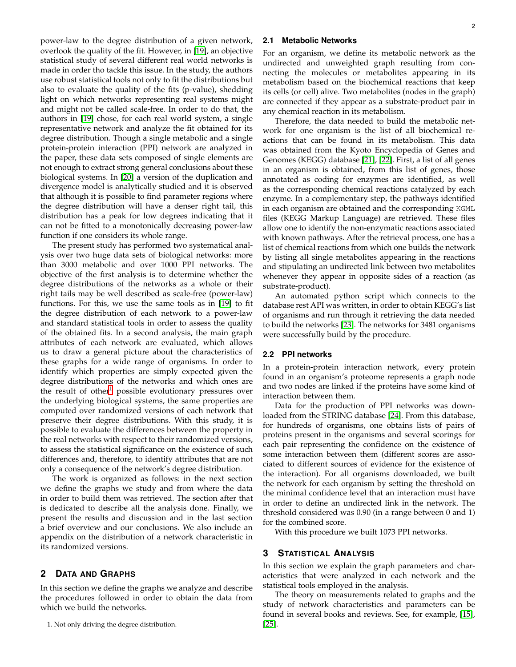power-law to the degree distribution of a given network, overlook the quality of the fit. However, in [\[19\]](#page-8-18), an objective statistical study of several different real world networks is made in order tho tackle this issue. In the study, the authors use robust statistical tools not only to fit the distributions but also to evaluate the quality of the fits (p-value), shedding light on which networks representing real systems might and might not be called scale-free. In order to do that, the authors in [\[19\]](#page-8-18) chose, for each real world system, a single representative network and analyze the fit obtained for its degree distribution. Though a single metabolic and a single protein-protein interaction (PPI) network are analyzed in the paper, these data sets composed of single elements are not enough to extract strong general conclusions about these biological systems. In [\[20\]](#page-8-19) a version of the duplication and divergence model is analytically studied and it is observed that although it is possible to find parameter regions where the degree distribution will have a denser right tail, this distribution has a peak for low degrees indicating that it can not be fitted to a monotonically decreasing power-law function if one considers its whole range.

The present study has performed two systematical analysis over two huge data sets of biological networks: more than 3000 metabolic and over 1000 PPI networks. The objective of the first analysis is to determine whether the degree distributions of the networks as a whole or their right tails may be well described as scale-free (power-law) functions. For this, we use the same tools as in [\[19\]](#page-8-18) to fit the degree distribution of each network to a power-law and standard statistical tools in order to assess the quality of the obtained fits. In a second analysis, the main graph attributes of each network are evaluated, which allows us to draw a general picture about the characteristics of these graphs for a wide range of organisms. In order to identify which properties are simply expected given the degree distributions of the networks and which ones are the result of other<sup>[1](#page-1-0)</sup> possible evolutionary pressures over the underlying biological systems, the same properties are computed over randomized versions of each network that preserve their degree distributions. With this study, it is possible to evaluate the differences between the property in the real networks with respect to their randomized versions, to assess the statistical significance on the existence of such differences and, therefore, to identify attributes that are not only a consequence of the network's degree distribution.

The work is organized as follows: in the next section we define the graphs we study and from where the data in order to build them was retrieved. The section after that is dedicated to describe all the analysis done. Finally, we present the results and discussion and in the last section a brief overview and our conclusions. We also include an appendix on the distribution of a network characteristic in its randomized versions.

# **2 DATA AND GRAPHS**

In this section we define the graphs we analyze and describe the procedures followed in order to obtain the data from which we build the networks.

<span id="page-1-0"></span>1. Not only driving the degree distribution.

## **2.1 Metabolic Networks**

For an organism, we define its metabolic network as the undirected and unweighted graph resulting from connecting the molecules or metabolites appearing in its metabolism based on the biochemical reactions that keep its cells (or cell) alive. Two metabolites (nodes in the graph) are connected if they appear as a substrate-product pair in any chemical reaction in its metabolism.

Therefore, the data needed to build the metabolic network for one organism is the list of all biochemical reactions that can be found in its metabolism. This data was obtained from the Kyoto Encyclopedia of Genes and Genomes (KEGG) database [\[21\]](#page-8-20), [\[22\]](#page-8-21). First, a list of all genes in an organism is obtained, from this list of genes, those annotated as coding for enzymes are identified, as well as the corresponding chemical reactions catalyzed by each enzyme. In a complementary step, the pathways identified in each organism are obtained and the corresponding KGML files (KEGG Markup Language) are retrieved. These files allow one to identify the non-enzymatic reactions associated with known pathways. After the retrieval process, one has a list of chemical reactions from which one builds the network by listing all single metabolites appearing in the reactions and stipulating an undirected link between two metabolites whenever they appear in opposite sides of a reaction (as substrate-product).

An automated python script which connects to the database rest API was written, in order to obtain KEGG's list of organisms and run through it retrieving the data needed to build the networks [\[23\]](#page-8-22). The networks for 3481 organisms were successfully build by the procedure.

#### **2.2 PPI networks**

In a protein-protein interaction network, every protein found in an organism's proteome represents a graph node and two nodes are linked if the proteins have some kind of interaction between them.

Data for the production of PPI networks was downloaded from the STRING database [\[24\]](#page-8-23). From this database, for hundreds of organisms, one obtains lists of pairs of proteins present in the organisms and several scorings for each pair representing the confidence on the existence of some interaction between them (different scores are associated to different sources of evidence for the existence of the interaction). For all organisms downloaded, we built the network for each organism by setting the threshold on the minimal confidence level that an interaction must have in order to define an undirected link in the network. The threshold considered was 0.90 (in a range between 0 and 1) for the combined score.

With this procedure we built 1073 PPI networks.

# **3 STATISTICAL ANALYSIS**

In this section we explain the graph parameters and characteristics that were analyzed in each network and the statistical tools employed in the analysis.

The theory on measurements related to graphs and the study of network characteristics and parameters can be found in several books and reviews. See, for example, [\[15\]](#page-8-14), [\[25\]](#page-8-24).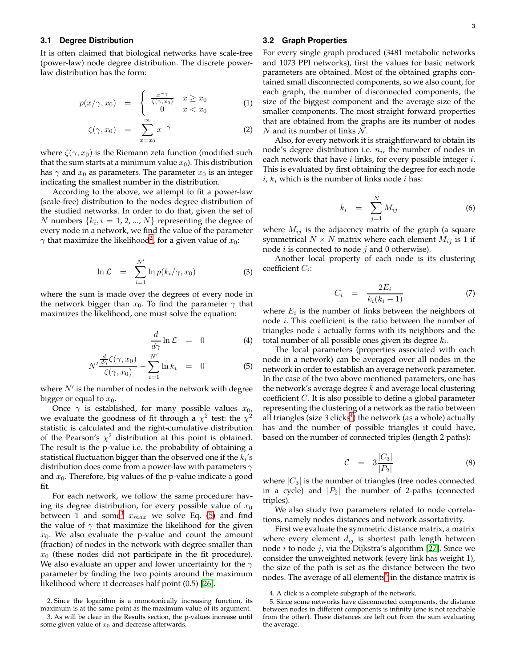#### **3.1 Degree Distribution**

It is often claimed that biological networks have scale-free (power-law) node degree distribution. The discrete powerlaw distribution has the form:

$$
p(x/\gamma, x_0) = \begin{cases} \frac{x^{-\gamma}}{\zeta(\gamma, x_0)} & x \ge x_0 \\ 0 & x < x_0 \end{cases}
$$
 (1)

$$
\zeta(\gamma, x_0) = \sum_{x=x_0}^{\infty} x^{-\gamma} \tag{2}
$$

where  $\zeta(\gamma, x_0)$  is the Riemann zeta function (modified such that the sum starts at a minimum value  $x_0$ ). This distribution has  $\gamma$  and  $x_0$  as parameters. The parameter  $x_0$  is an integer indicating the smallest number in the distribution.

According to the above, we attempt to fit a power-law (scale-free) distribution to the nodes degree distribution of the studied networks. In order to do that, given the set of N numbers  $\{k_i, i = 1, 2, ..., N\}$  representing the degree of every node in a network, we find the value of the parameter  $\gamma$  that maximize the likelihood $^2$  $^2$ , for a given value of  $x_0$ :

$$
\ln \mathcal{L} = \sum_{i=1}^{N'} \ln p(k_i/\gamma, x_0)
$$
 (3)

where the sum is made over the degrees of every node in the network bigger than  $x_0$ . To find the parameter  $\gamma$  that maximizes the likelihood, one must solve the equation:

<span id="page-2-2"></span>
$$
\frac{d}{d\gamma}\ln\mathcal{L} = 0 \tag{4}
$$

$$
N' \frac{\frac{d}{d\gamma} \zeta(\gamma, x_0)}{\zeta(\gamma, x_0)} - \sum_{i=1}^{N'} \ln k_i = 0 \tag{5}
$$

where  $N'$  is the number of nodes in the network with degree bigger or equal to  $x_0$ .

Once  $\gamma$  is established, for many possible values  $x_0$ , we evaluate the goodness of fit through a  $\chi^2$  test: the  $\chi^2$ statistic is calculated and the right-cumulative distribution of the Pearson's  $\chi^2$  distribution at this point is obtained. The result is the p-value i.e. the probability of obtaining a statistical fluctuation bigger than the observed one if the  $k_i^{\,\prime}$ s distribution does come from a power-law with parameters  $\gamma$ and  $x_0$ . Therefore, big values of the p-value indicate a good fit.

For each network, we follow the same procedure: having its degree distribution, for every possible value of  $x_0$ between 1 and some<sup>[3](#page-2-1)</sup>  $x_{max}$  we solve Eq. [\(5\)](#page-2-2) and find the value of  $\gamma$  that maximize the likelihood for the given  $x_0$ . We also evaluate the p-value and count the amount (fraction) of nodes in the network with degree smaller than  $x_0$  (these nodes did not participate in the fit procedure). We also evaluate an upper and lower uncertainty for the  $\gamma$ parameter by finding the two points around the maximum likelihood where it decreases half point (0.5) [\[26\]](#page-8-25).

#### <span id="page-2-5"></span>**3.2 Graph Properties**

For every single graph produced (3481 metabolic networks and 1073 PPI networks), first the values for basic network parameters are obtained. Most of the obtained graphs contained small disconnected components, so we also count, for each graph, the number of disconnected components, the size of the biggest component and the average size of the smaller components. The most straight forward properties that are obtained from the graphs are its number of nodes N and its number of links  $N$ .

Also, for every network it is straightforward to obtain its node's degree distribution i.e.  $n_i$ , the number of nodes in each network that have  $i$  links, for every possible integer  $i$ . This is evaluated by first obtaining the degree for each node  $i, k<sub>i</sub>$  which is the number of links node  $i$  has:

$$
k_i = \sum_{j=1}^N M_{ij} \tag{6}
$$

where  $M_{ij}$  is the adjacency matrix of the graph (a square symmetrical  $N \times N$  matrix where each element  $M_{ij}$  is 1 if node  $i$  is connected to node  $j$  and 0 otherwise).

Another local property of each node is its clustering  $\operatorname{coefficient} C_i$ :

$$
C_i = \frac{2E_i}{k_i(k_i - 1)}\tag{7}
$$

where  $E_i$  is the number of links between the neighbors of node i. This coefficient is the ratio between the number of triangles node  $i$  actually forms with its neighbors and the total number of all possible ones given its degree  $k_i$ .

The local parameters (properties associated with each node in a network) can be averaged over all nodes in the network in order to establish an average network parameter. In the case of the two above mentioned parameters, one has the network's average degree  $k$  and average local clustering coefficient  $\overline{C}$ . It is also possible to define a global parameter representing the clustering of a network as the ratio between all triangles (size  $3$  clicks $4$ ) the network (as a whole) actually has and the number of possible triangles it could have, based on the number of connected triples (length 2 paths):

$$
\mathcal{C} = 3 \frac{|C_3|}{|P_2|} \tag{8}
$$

where  $|C_3|$  is the number of triangles (tree nodes connected in a cycle) and  $|P_2|$  the number of 2-paths (connected triples).

We also study two parameters related to node correlations, namely nodes distances and network assortativity.

First we evaluate the symmetric distance matrix, a matrix where every element  $d_{ij}$  is shortest path length between node *i* to node *j*, via the Dijkstra's algorithm [\[27\]](#page-9-0). Since we consider the unweighted network (every link has weight 1), the size of the path is set as the distance between the two nodes. The average of all elements $^5$  $^5$  in the distance matrix is

<span id="page-2-0"></span><sup>2.</sup> Since the logarithm is a monotonically increasing function, its maximum is at the same point as the maximum value of its argument.

<span id="page-2-1"></span><sup>3.</sup> As will be clear in the Results section, the p-values increase until some given value of  $x_0$  and decrease afterwards.

<span id="page-2-3"></span><sup>4.</sup> A click is a complete subgraph of the network.

<span id="page-2-4"></span><sup>5.</sup> Since some networks have disconnected components, the distance between nodes in different components is infinity (one is not reachable from the other). These distances are left out from the sum evaluating the average.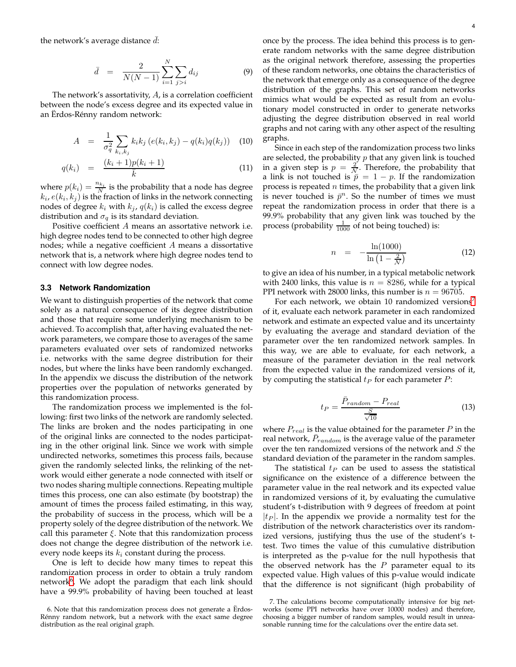the network's average distance  $\overline{d}$ :

$$
\bar{d} = \frac{2}{N(N-1)} \sum_{i=1}^{N} \sum_{j>i} d_{ij} \tag{9}
$$

The network's assortativity, A, is a correlation coefficient between the node's excess degree and its expected value in an Erdos-Rénny random network:

$$
A = \frac{1}{\sigma_q^2} \sum_{k_i, k_j} k_i k_j \left( e(k_i, k_j) - q(k_i) q(k_j) \right) \tag{10}
$$

$$
q(k_i) = \frac{(k_i + 1)p(k_i + 1)}{\bar{k}} \tag{11}
$$

where  $p(k_i) = \frac{n_{k_i}}{N}$  is the probability that a node has degree  $(k_i, e(k_i, k_j))$  is the fraction of links in the network connecting nodes of degree  $k_i$  with  $k_j$ ,  $q(k_i)$  is called the excess degree distribution and  $\sigma_q$  is its standard deviation.

Positive coefficient A means an assortative network i.e. high degree nodes tend to be connected to other high degree nodes; while a negative coefficient A means a dissortative network that is, a network where high degree nodes tend to connect with low degree nodes.

#### <span id="page-3-2"></span>**3.3 Network Randomization**

We want to distinguish properties of the network that come solely as a natural consequence of its degree distribution and those that require some underlying mechanism to be achieved. To accomplish that, after having evaluated the network parameters, we compare those to averages of the same parameters evaluated over sets of randomized networks i.e. networks with the same degree distribution for their nodes, but where the links have been randomly exchanged. In the appendix we discuss the distribution of the network properties over the population of networks generated by this randomization process.

The randomization process we implemented is the following: first two links of the network are randomly selected. The links are broken and the nodes participating in one of the original links are connected to the nodes participating in the other original link. Since we work with simple undirected networks, sometimes this process fails, because given the randomly selected links, the relinking of the network would either generate a node connected with itself or two nodes sharing multiple connections. Repeating multiple times this process, one can also estimate (by bootstrap) the amount of times the process failed estimating, in this way, the probability of success in the process, which will be a property solely of the degree distribution of the network. We call this parameter  $\xi$ . Note that this randomization process does not change the degree distribution of the network i.e. every node keeps its  $k_i$  constant during the process.

One is left to decide how many times to repeat this randomization process in order to obtain a truly random network<sup>[6](#page-3-0)</sup>. We adopt the paradigm that each link should have a 99.9% probability of having been touched at least

once by the process. The idea behind this process is to generate random networks with the same degree distribution as the original network therefore, assessing the properties of these random networks, one obtains the characteristics of the network that emerge only as a consequence of the degree distribution of the graphs. This set of random networks mimics what would be expected as result from an evolutionary model constructed in order to generate networks adjusting the degree distribution observed in real world graphs and not caring with any other aspect of the resulting graphs.

Since in each step of the randomization process two links are selected, the probability  $p$  that any given link is touched in a given step is  $p = \frac{2}{\Delta}$  $\frac{2}{N}$ . Therefore, the probability that a link is not touched is  $\bar{p} = 1 - p$ . If the randomization process is repeated  $n$  times, the probability that a given link is never touched is  $\bar{p}^n$ . So the number of times we must repeat the randomization process in order that there is a 99.9% probability that any given link was touched by the process (probability  $\frac{1}{1000}$  of not being touched) is:

$$
n = -\frac{\ln(1000)}{\ln(1 - \frac{2}{\mathcal{N}})}
$$
(12)

to give an idea of his number, in a typical metabolic network with 2400 links, this value is  $n = 8286$ , while for a typical PPI network with 28000 links, this number is  $n = 96705$ .

For each network, we obtain 10 randomized versions<sup>[7](#page-3-1)</sup> of it, evaluate each network parameter in each randomized network and estimate an expected value and its uncertainty by evaluating the average and standard deviation of the parameter over the ten randomized network samples. In this way, we are able to evaluate, for each network, a measure of the parameter deviation in the real network from the expected value in the randomized versions of it, by computing the statistical  $t_P$  for each parameter  $P$ :

$$
t_P = \frac{\bar{P}_{random} - P_{real}}{\frac{S}{\sqrt{10}}}
$$
(13)

where  $P_{real}$  is the value obtained for the parameter  $P$  in the real network,  $\bar{P}_{random}$  is the average value of the parameter over the ten randomized versions of the network and  $S$  the standard deviation of the parameter in the random samples.

The statistical  $t_P$  can be used to assess the statistical significance on the existence of a difference between the parameter value in the real network and its expected value in randomized versions of it, by evaluating the cumulative student's t-distribution with 9 degrees of freedom at point  $|tp|$ . In the appendix we provide a normality test for the distribution of the network characteristics over its randomized versions, justifying thus the use of the student's ttest. Two times the value of this cumulative distribution is interpreted as the p-value for the null hypothesis that the observed network has the  $P$  parameter equal to its expected value. High values of this p-value would indicate that the difference is not significant (high probability of

<span id="page-3-0"></span><sup>6.</sup> Note that this randomization process does not generate a  $E$ rdos-Rénny random network, but a network with the exact same degree distribution as the real original graph.

<span id="page-3-1"></span><sup>7.</sup> The calculations become computationally intensive for big networks (some PPI networks have over 10000 nodes) and therefore, choosing a bigger number of random samples, would result in unreasonable running time for the calculations over the entire data set.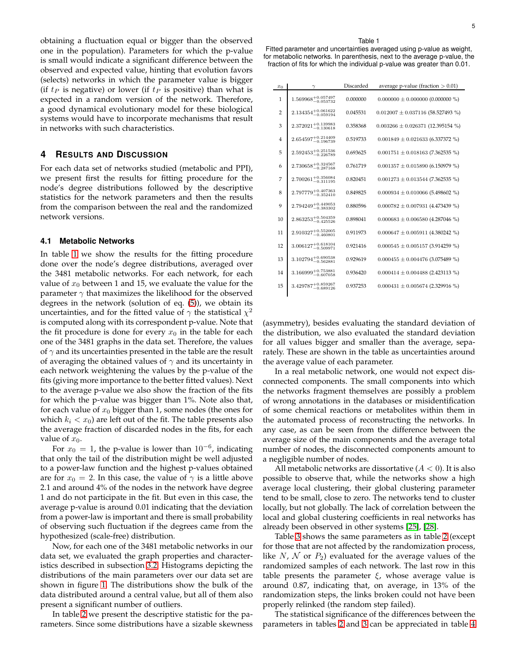obtaining a fluctuation equal or bigger than the observed one in the population). Parameters for which the p-value is small would indicate a significant difference between the observed and expected value, hinting that evolution favors (selects) networks in which the parameter value is bigger (if  $t_P$  is negative) or lower (if  $t_P$  is positive) than what is expected in a random version of the network. Therefore, a good dynamical evolutionary model for these biological systems would have to incorporate mechanisms that result in networks with such characteristics.

# **4 RESULTS AND DISCUSSION**

For each data set of networks studied (metabolic and PPI), we present first the results for fitting procedure for the node's degree distributions followed by the descriptive statistics for the network parameters and then the results from the comparison between the real and the randomized network versions.

#### **4.1 Metabolic Networks**

In table [1](#page-4-0) we show the results for the fitting procedure done over the node's degree distributions, averaged over the 3481 metabolic networks. For each network, for each value of  $x_0$  between 1 and 15, we evaluate the value for the parameter  $\gamma$  that maximizes the likelihood for the observed degrees in the network (solution of eq. [\(5\)](#page-2-2)), we obtain its uncertainties, and for the fitted value of  $\gamma$  the statistical  $\chi^2$ is computed along with its correspondent p-value. Note that the fit procedure is done for every  $x_0$  in the table for each one of the 3481 graphs in the data set. Therefore, the values of  $\gamma$  and its uncertainties presented in the table are the result of averaging the obtained values of  $\gamma$  and its uncertainty in each network weightening the values by the p-value of the fits (giving more importance to the better fitted values). Next to the average p-value we also show the fraction of the fits for which the p-value was bigger than 1%. Note also that, for each value of  $x_0$  bigger than 1, some nodes (the ones for which  $k_i < x_0$ ) are left out of the fit. The table presents also the average fraction of discarded nodes in the fits, for each value of  $x_0$ .

For  $x_0 = 1$ , the p-value is lower than  $10^{-6}$ , indicating that only the tail of the distribution might be well adjusted to a power-law function and the highest p-values obtained are for  $x_0 = 2$ . In this case, the value of  $\gamma$  is a little above 2.1 and around 4% of the nodes in the network have degree 1 and do not participate in the fit. But even in this case, the average p-value is around 0.01 indicating that the deviation from a power-law is important and there is small probability of observing such fluctuation if the degrees came from the hypothesized (scale-free) distribution.

Now, for each one of the 3481 metabolic networks in our data set, we evaluated the graph properties and characteristics described in subsection [3.2.](#page-2-5) Histograms depicting the distributions of the main parameters over our data set are shown in figure [1.](#page-5-0) The distributions show the bulk of the data distributed around a central value, but all of them also present a significant number of outliers.

In table [2](#page-6-0) we present the descriptive statistic for the parameters. Since some distributions have a sizable skewness

<span id="page-4-0"></span>Fitted parameter and uncertainties averaged using p-value as weight, for metabolic networks. In parenthesis, next to the average p-value, the fraction of fits for which the individual p-value was greater than 0.01.

| $x_0$          |                                    | Discarded | average p-value (fraction $> 0.01$ )  |
|----------------|------------------------------------|-----------|---------------------------------------|
| 1              | $1.569968^{+0.057497}_{-0.053732}$ | 0.000000  | $0.000000 \pm 0.000000$ (0.000000 %)  |
| $\overline{2}$ | $2.134354^{+0.061622}_{-0.059194}$ | 0.045531  | $0.012007 \pm 0.037116$ (58.527493 %) |
| 3              | $2.372021^{+0.139983}_{-0.130618}$ | 0.358368  | $0.003266 \pm 0.026371$ (12.395154 %) |
| $\overline{4}$ | $2.654597^{+0.214409}_{-0.196739}$ | 0.519733  | $0.001849 \pm 0.021633$ (6.337372 %)  |
| 5              | $2.592453^{+0.251536}_{-0.226789}$ | 0.693625  | $0.001751 \pm 0.018163$ (7.362535 %)  |
| 6              | $2.730658^{+0.324567}_{-0.287168}$ | 0.761719  | $0.001357 \pm 0.015890$ (6.150979 %)  |
| 7              | $2.700261^{+0.356084}_{-0.311195}$ | 0.820451  | $0.001273 \pm 0.013544$ (7.362535 %)  |
| 8              | $2.797779^{+0.407363}_{-0.352410}$ | 0.849825  | $0.000934 \pm 0.010066$ (5.498602 %)  |
| 9              | $2.794249^{+0.449053}_{-0.383302}$ | 0.880596  | $0.000782 \pm 0.007931$ (4.473439 %)  |
| 10             | $2.863253^{+0.504359}_{-0.425526}$ | 0.898041  | $0.000683 \pm 0.006580$ (4.287046 %)  |
| 11             | $2.910327^{+0.552005}_{-0.460801}$ | 0.911973  | $0.000647 \pm 0.005911$ (4.380242 %)  |
| 12             | $3.006127^{+0.618104}_{-0.509971}$ | 0.921416  | $0.000545 \pm 0.005157$ (3.914259 %)  |
| 13             | $3.102794^{+0.690538}_{-0.562881}$ | 0.929619  | $0.000455 \pm 0.004476$ (3.075489 %)  |
| 14             | $3.166999^{+0.753881}_{-0.607058}$ | 0.936420  | $0.000414 \pm 0.004488$ (2.423113 %)  |
| 15             | $3.429787^{+0.859267}_{-0.689126}$ | 0.937253  | $0.000431 \pm 0.005674$ (2.329916 %)  |

(asymmetry), besides evaluating the standard deviation of the distribution, we also evaluated the standard deviation for all values bigger and smaller than the average, separately. These are shown in the table as uncertainties around the average value of each parameter.

In a real metabolic network, one would not expect disconnected components. The small components into which the networks fragment themselves are possibly a problem of wrong annotations in the databases or misidentification of some chemical reactions or metabolites within them in the automated process of reconstructing the networks. In any case, as can be seen from the difference between the average size of the main components and the average total number of nodes, the disconnected components amount to a negligible number of nodes.

All metabolic networks are dissortative  $(A < 0)$ . It is also possible to observe that, while the networks show a high average local clustering, their global clustering parameter tend to be small, close to zero. The networks tend to cluster locally, but not globally. The lack of correlation between the local and global clustering coefficients in real networks has already been observed in other systems [\[25\]](#page-8-24), [\[28\]](#page-9-1).

Table [3](#page-7-0) shows the same parameters as in table [2](#page-6-0) (except for those that are not affected by the randomization process, like N, N or  $P_2$ ) evaluated for the average values of the randomized samples of each network. The last row in this table presents the parameter  $\xi$ , whose average value is around 0.87, indicating that, on average, in 13% of the randomization steps, the links broken could not have been properly relinked (the random step failed).

The statistical significance of the differences between the parameters in tables [2](#page-6-0) and [3](#page-7-0) can be appreciated in table [4](#page-7-1)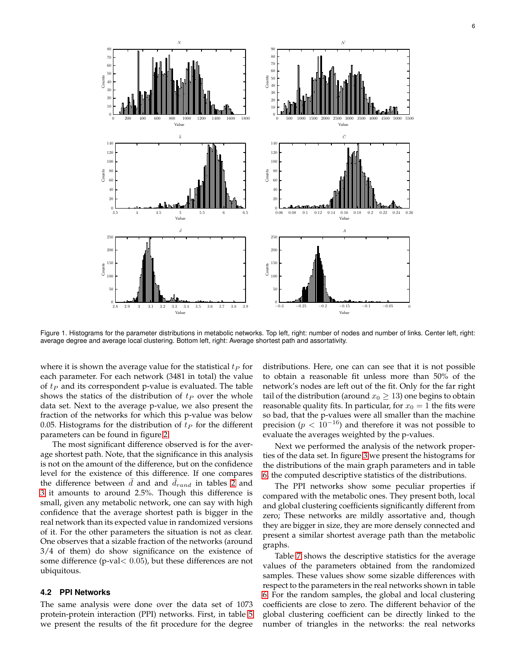

<span id="page-5-0"></span>Figure 1. Histograms for the parameter distributions in metabolic networks. Top left, right: number of nodes and number of links. Center left, right: average degree and average local clustering. Bottom left, right: Average shortest path and assortativity.

where it is shown the average value for the statistical  $t_P$  for each parameter. For each network (3481 in total) the value of  $t_P$  and its correspondent p-value is evaluated. The table shows the statics of the distribution of  $t_P$  over the whole data set. Next to the average p-value, we also present the fraction of the networks for which this p-value was below 0.05. Histograms for the distribution of  $t_P$  for the different parameters can be found in figure [2.](#page-8-26)

The most significant difference observed is for the average shortest path. Note, that the significance in this analysis is not on the amount of the difference, but on the confidence level for the existence of this difference. If one compares the difference between  $\bar{d}$  and and  $\bar{d}_{rand}$  in tables [2](#page-6-0) and [3](#page-7-0) it amounts to around 2.5%. Though this difference is small, given any metabolic network, one can say with high confidence that the average shortest path is bigger in the real network than its expected value in randomized versions of it. For the other parameters the situation is not as clear. One observes that a sizable fraction of the networks (around 3/4 of them) do show significance on the existence of some difference (p-val< 0.05), but these differences are not ubiquitous.

## **4.2 PPI Networks**

The same analysis were done over the data set of 1073 protein-protein interaction (PPI) networks. First, in table [5](#page-11-0) we present the results of the fit procedure for the degree

distributions. Here, one can can see that it is not possible to obtain a reasonable fit unless more than 50% of the network's nodes are left out of the fit. Only for the far right tail of the distribution (around  $x_0 \geq 13$ ) one begins to obtain reasonable quality fits. In particular, for  $x_0 = 1$  the fits were so bad, that the p-values were all smaller than the machine precision ( $p < 10^{-16}$ ) and therefore it was not possible to evaluate the averages weighted by the p-values.

Next we performed the analysis of the network properties of the data set. In figure [3](#page-9-2) we present the histograms for the distributions of the main graph parameters and in table [6,](#page-12-0) the computed descriptive statistics of the distributions.

The PPI networks show some peculiar properties if compared with the metabolic ones. They present both, local and global clustering coefficients significantly different from zero; These networks are mildly assortative and, though they are bigger in size, they are more densely connected and present a similar shortest average path than the metabolic graphs.

Table [7](#page-12-1) shows the descriptive statistics for the average values of the parameters obtained from the randomized samples. These values show some sizable differences with respect to the parameters in the real networks shown in table [6.](#page-12-0) For the random samples, the global and local clustering coefficients are close to zero. The different behavior of the global clustering coefficient can be directly linked to the number of triangles in the networks: the real networks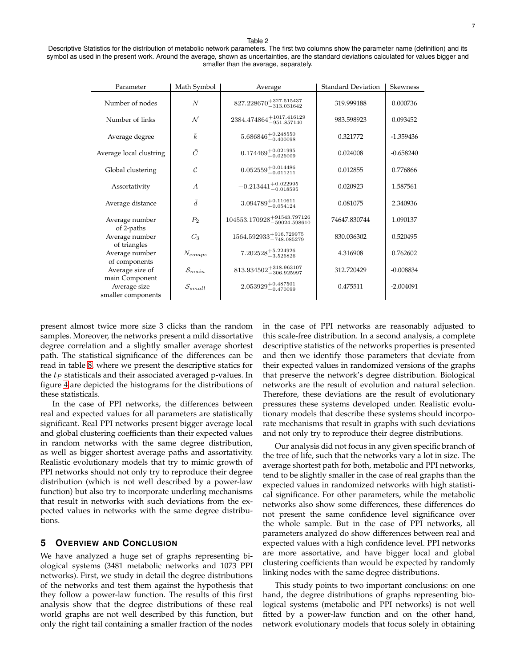<span id="page-6-0"></span>Descriptive Statistics for the distribution of metabolic network parameters. The first two columns show the parameter name (definition) and its symbol as used in the present work. Around the average, shown as uncertainties, are the standard deviations calculated for values bigger and smaller than the average, separately.

| Parameter                                            | Math Symbol           | Average                                         | <b>Standard Deviation</b> | Skewness    |
|------------------------------------------------------|-----------------------|-------------------------------------------------|---------------------------|-------------|
| Number of nodes                                      | $\overline{N}$        | $827.228670^{+327.515437}_{-313.031642}$        | 319.999188                | 0.000736    |
| Number of links                                      | ${\cal N}$            | $2384.474864_{-951.857140}^{+1017.416129}$      | 983.598923                | 0.093452    |
| Average degree                                       | $\bar{k}$             | $5.686846^{+0.248550}_{-0.400098}$              | 0.321772                  | $-1.359436$ |
| Average local clustring                              | Ē                     | $0.174469^{+0.021995}_{-0.026009}$              | 0.024008                  | $-0.658240$ |
| Global clustering                                    | $\mathcal{C}$         | $0.052559^{+0.014486}_{-0.011211}$              | 0.012855                  | 0.776866    |
| Assortativity                                        | $\overline{A}$        | $-0.213441^{+0.022995}_{-0.018595}$             | 0.020923                  | 1.587561    |
| Average distance                                     | $\bar{d}$             | $3.094789^{+0.110611}_{-0.054124}$              | 0.081075                  | 2.340936    |
| Average number<br>of 2-paths                         | P <sub>2</sub>        | $104553.170928^{+91543.797126}_{-59024.598610}$ | 74647.830744              | 1.090137    |
| Average number<br>of triangles                       | $C_3$                 | $1564.592933_{-748.085279}^{+916.729975}$       | 830.036302                | 0.520495    |
| Average number<br>of components                      | $N_{comps}$           | $7.202528^{+5.224926}_{-3.526826}$              | 4.316908                  | 0.762602    |
| Average size of                                      | $S_{main}$            | $813.934502^{+318.963107}_{-306.925997}$        | 312.720429                | $-0.008834$ |
| main Component<br>Average size<br>smaller components | $\mathcal{S}_{small}$ | $2.053929^{+0.487501}_{-0.470099}$              | 0.475511                  | $-2.004091$ |

present almost twice more size 3 clicks than the random samples. Moreover, the networks present a mild dissortative degree correlation and a slightly smaller average shortest path. The statistical significance of the differences can be read in table [8,](#page-13-0) where we present the descriptive statics for the  $tp$  statisticals and their associated averaged p-values. In figure [4](#page-10-0) are depicted the histograms for the distributions of these statisticals.

In the case of PPI networks, the differences between real and expected values for all parameters are statistically significant. Real PPI networks present bigger average local and global clustering coefficients than their expected values in random networks with the same degree distribution, as well as bigger shortest average paths and assortativity. Realistic evolutionary models that try to mimic growth of PPI networks should not only try to reproduce their degree distribution (which is not well described by a power-law function) but also try to incorporate underling mechanisms that result in networks with such deviations from the expected values in networks with the same degree distributions.

# **5 OVERVIEW AND CONCLUSION**

We have analyzed a huge set of graphs representing biological systems (3481 metabolic networks and 1073 PPI networks). First, we study in detail the degree distributions of the networks and test them against the hypothesis that they follow a power-law function. The results of this first analysis show that the degree distributions of these real world graphs are not well described by this function, but only the right tail containing a smaller fraction of the nodes

in the case of PPI networks are reasonably adjusted to this scale-free distribution. In a second analysis, a complete descriptive statistics of the networks properties is presented and then we identify those parameters that deviate from their expected values in randomized versions of the graphs that preserve the network's degree distribution. Biological networks are the result of evolution and natural selection. Therefore, these deviations are the result of evolutionary pressures these systems developed under. Realistic evolutionary models that describe these systems should incorporate mechanisms that result in graphs with such deviations and not only try to reproduce their degree distributions.

Our analysis did not focus in any given specific branch of the tree of life, such that the networks vary a lot in size. The average shortest path for both, metabolic and PPI networks, tend to be slightly smaller in the case of real graphs than the expected values in randomized networks with high statistical significance. For other parameters, while the metabolic networks also show some differences, these differences do not present the same confidence level significance over the whole sample. But in the case of PPI networks, all parameters analyzed do show differences between real and expected values with a high confidence level. PPI networks are more assortative, and have bigger local and global clustering coefficients than would be expected by randomly linking nodes with the same degree distributions.

This study points to two important conclusions: on one hand, the degree distributions of graphs representing biological systems (metabolic and PPI networks) is not well fitted by a power-law function and on the other hand, network evolutionary models that focus solely in obtaining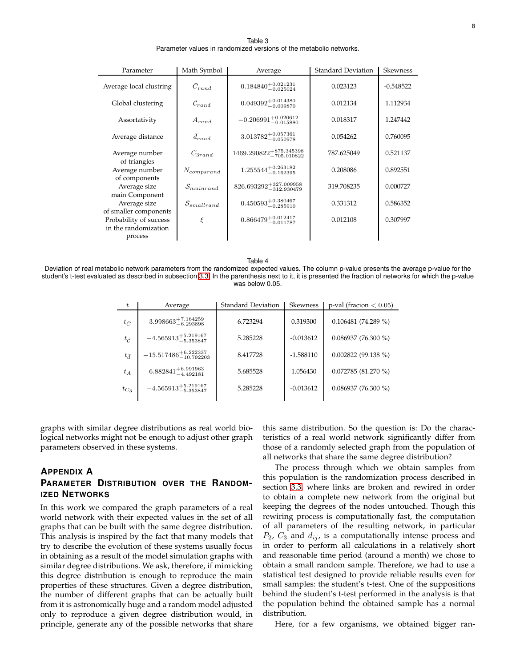Table 3 Parameter values in randomized versions of the metabolic networks.

<span id="page-7-0"></span>

| Parameter                                                               | Math Symbol               | Average                                   | <b>Standard Deviation</b> | <b>Skewness</b> |
|-------------------------------------------------------------------------|---------------------------|-------------------------------------------|---------------------------|-----------------|
| Average local clustring                                                 | $C_{rand}$                | $0.184840^{+0.021231}_{-0.025024}$        | 0.023123                  | $-0.548522$     |
| Global clustering                                                       | $\mathcal{C}_{rand}$      | $0.049392^{+0.014380}_{-0.009870}$        | 0.012134                  | 1.112934        |
| Assortativity                                                           | $A_{rand}$                | $-0.206991_{-0.015880}^{+0.020612}$       | 0.018317                  | 1.247442        |
| Average distance                                                        | $\bar{d}_{rand}$          | $3.013782_{-0.050978}^{+0.057361}$        | 0.054262                  | 0.760095        |
| Average number<br>of triangles                                          | $C_{3rand}$               | $1469.290822_{-705.010822}^{+875.345398}$ | 787.625049                | 0.521137        |
| Average number                                                          | $N_{compsrand}$           | $1.255544^{+0.263182}_{-0.162395}$        | 0.208086                  | 0.892551        |
| of components<br>Average size<br>main Component                         | $S_{maintand}$            | $826.693292^{+327.009958}_{-312.930479}$  | 319.708235                | 0.000727        |
| Average size                                                            | $\mathcal{S}_{smallrand}$ | $0.450593^{+0.380467}_{-0.285910}$        | 0.331312                  | 0.586352        |
| of smaller components<br>Probability of success<br>in the randomization | ξ                         | $0.866479^{+0.012417}_{-0.011787}$        | 0.012108                  | 0.307997        |
| process                                                                 |                           |                                           |                           |                 |

<span id="page-7-1"></span>Deviation of real metabolic network parameters from the randomized expected values. The column p-value presents the average p-value for the student's t-test evaluated as described in subsection [3.3.](#page-3-2) In the parenthesis next to it, it is presented the fraction of networks for which the p-value was below 0.05.

| t             | Average                               | Standard Deviation | Skewness    | p-val (fracion $< 0.05$ ) |
|---------------|---------------------------------------|--------------------|-------------|---------------------------|
| $t_{\bar{C}}$ | $3.998663^{+7.164259}_{-6.293898}$    | 6.723294           | 0.319300    | $0.106481(74.289\%)$      |
| $t_{\bar{C}}$ | $-4.565913_{-5.353847}^{+5.219167}$   | 5.285228           | $-0.013612$ | $0.086937(76.300\%)$      |
| $t_{\bar{d}}$ | $-15.517486^{+6.222337}_{-10.792203}$ | 8.417728           | $-1.588110$ | $0.002822(99.138\%)$      |
| $t_A$         | $6.882841_{-4.492181}^{+6.991963}$    | 5.685528           | 1.056430    | $0.072785(81.270\%)$      |
| $t_{C_3}$     | $-4.565913^{+5.219167}_{-5.353847}$   | 5.285228           | $-0.013612$ | $0.086937(76.300\%)$      |
|               |                                       |                    |             |                           |

graphs with similar degree distributions as real world biological networks might not be enough to adjust other graph parameters observed in these systems.

# **APPENDIX A PARAMETER DISTRIBUTION OVER THE RANDOM-IZED NETWORKS**

In this work we compared the graph parameters of a real world network with their expected values in the set of all graphs that can be built with the same degree distribution. This analysis is inspired by the fact that many models that try to describe the evolution of these systems usually focus in obtaining as a result of the model simulation graphs with similar degree distributions. We ask, therefore, if mimicking this degree distribution is enough to reproduce the main properties of these structures. Given a degree distribution, the number of different graphs that can be actually built from it is astronomically huge and a random model adjusted only to reproduce a given degree distribution would, in principle, generate any of the possible networks that share

this same distribution. So the question is: Do the characteristics of a real world network significantly differ from those of a randomly selected graph from the population of all networks that share the same degree distribution?

The process through which we obtain samples from this population is the randomization process described in section [3.3,](#page-3-2) where links are broken and rewired in order to obtain a complete new network from the original but keeping the degrees of the nodes untouched. Though this rewiring process is computationally fast, the computation of all parameters of the resulting network, in particular  $P_2$ ,  $C_3$  and  $d_{ij}$ , is a computationally intense process and in order to perform all calculations in a relatively short and reasonable time period (around a month) we chose to obtain a small random sample. Therefore, we had to use a statistical test designed to provide reliable results even for small samples: the student's t-test. One of the suppositions behind the student's t-test performed in the analysis is that the population behind the obtained sample has a normal distribution.

Here, for a few organisms, we obtained bigger ran-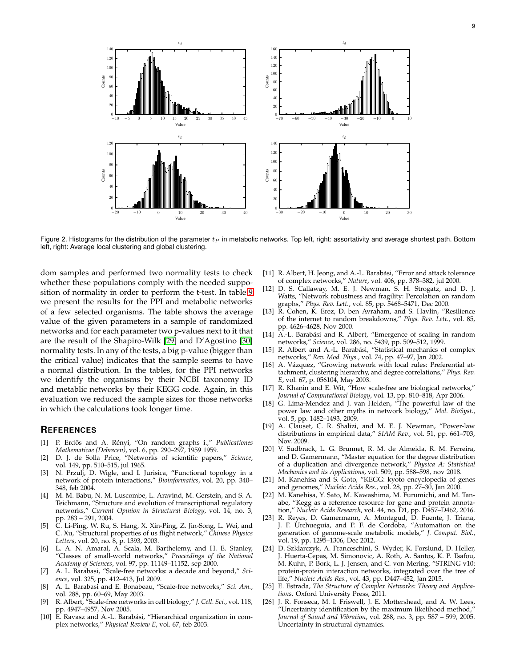

<span id="page-8-26"></span>Figure 2. Histograms for the distribution of the parameter  $t_P$  in metabolic networks. Top left, right: assortativity and average shortest path. Bottom left, right: Average local clustering and global clustering.

dom samples and performed two normality tests to check whether these populations comply with the needed supposition of normality in order to perform the t-test. In table [9](#page-13-1) we present the results for the PPI and metabolic networks of a few selected organisms. The table shows the average value of the given parameters in a sample of randomized networks and for each parameter two p-values next to it that are the result of the Shapiro-Wilk [\[29\]](#page-9-3) and D'Agostino [\[30\]](#page-9-4) normality tests. In any of the tests, a big p-value (bigger than the critical value) indicates that the sample seems to have a normal distribution. In the tables, for the PPI networks we identify the organisms by their NCBI taxonomy ID and metablic networks by their KEGG code. Again, in this evaluation we reduced the sample sizes for those networks in which the calculations took longer time.

# <span id="page-8-0"></span>**REFERENCES**

- [1] P. Erd˝os and A. R´enyi, "On random graphs i.," *Publicationes Mathematicae (Debrecen)*, vol. 6, pp. 290–297, 1959 1959.
- <span id="page-8-1"></span>[2] D. J. de Solla Price, "Networks of scientific papers," *Science*, vol. 149, pp. 510–515, jul 1965.
- <span id="page-8-2"></span>[3] N. Przulj, D. Wigle, and I. Jurisica, "Functional topology in a network of protein interactions," *Bioinformatics*, vol. 20, pp. 340– 348, feb 2004.
- <span id="page-8-3"></span>[4] M. M. Babu, N. M. Luscombe, L. Aravind, M. Gerstein, and S. A. Teichmann, "Structure and evolution of transcriptional regulatory networks," *Current Opinion in Structural Biology*, vol. 14, no. 3, pp. 283 – 291, 2004.
- <span id="page-8-4"></span>[5] C. Li-Ping, W. Ru, S. Hang, X. Xin-Ping, Z. Jin-Song, L. Wei, and C. Xu, "Structural properties of us flight network," *Chinese Physics Letters*, vol. 20, no. 8, p. 1393, 2003.
- <span id="page-8-5"></span>L. A. N. Amaral, A. Scala, M. Barthelemy, and H. E. Stanley, "Classes of small-world networks," *Proceedings of the National Academy of Sciences*, vol. 97, pp. 11149–11152, sep 2000.
- <span id="page-8-6"></span>[7] A. L. Barabasi, "Scale-free networks: a decade and beyond," *Science*, vol. 325, pp. 412–413, Jul 2009.
- <span id="page-8-7"></span>[8] A. L. Barabasi and E. Bonabeau, "Scale-free networks," *Sci. Am.*, vol. 288, pp. 60–69, May 2003.
- <span id="page-8-8"></span>[9] R. Albert, "Scale-free networks in cell biology," *J. Cell. Sci.*, vol. 118, pp. 4947–4957, Nov 2005.
- <span id="page-8-9"></span>[10] E. Ravasz and A.-L. Barabási, "Hierarchical organization in complex networks," *Physical Review E*, vol. 67, feb 2003.
- <span id="page-8-10"></span>[11] R. Albert, H. Jeong, and A.-L. Barabási, "Error and attack tolerance of complex networks," *Nature*, vol. 406, pp. 378–382, jul 2000.
- <span id="page-8-11"></span>[12] D. S. Callaway, M. E. J. Newman, S. H. Strogatz, and D. J. Watts, "Network robustness and fragility: Percolation on random graphs," *Phys. Rev. Lett.*, vol. 85, pp. 5468–5471, Dec 2000.
- <span id="page-8-12"></span>[13] R. Cohen, K. Erez, D. ben Avraham, and S. Havlin, "Resilience of the internet to random breakdowns," *Phys. Rev. Lett.*, vol. 85, pp. 4626–4628, Nov 2000.
- <span id="page-8-13"></span>[14] A.-L. Barabási and R. Albert, "Emergence of scaling in random networks," *Science*, vol. 286, no. 5439, pp. 509–512, 1999.
- <span id="page-8-14"></span>[15] R. Albert and A.-L. Barabási, "Statistical mechanics of complex networks," *Rev. Mod. Phys.*, vol. 74, pp. 47–97, Jan 2002.
- <span id="page-8-15"></span>[16] A. Vázquez, "Growing network with local rules: Preferential attachment, clustering hierarchy, and degree correlations," *Phys. Rev. E*, vol. 67, p. 056104, May 2003.
- <span id="page-8-16"></span>[17] R. Khanin and E. Wit, "How scale-free are biological networks," *Journal of Computational Biology*, vol. 13, pp. 810–818, Apr 2006.
- <span id="page-8-17"></span>[18] G. Lima-Mendez and J. van Helden, "The powerful law of the power law and other myths in network biology," *Mol. BioSyst.*, vol. 5, pp. 1482–1493, 2009.
- <span id="page-8-18"></span>[19] A. Clauset, C. R. Shalizi, and M. E. J. Newman, "Power-law distributions in empirical data," *SIAM Rev.*, vol. 51, pp. 661–703, Nov. 2009.
- <span id="page-8-19"></span>[20] V. Sudbrack, L. G. Brunnet, R. M. de Almeida, R. M. Ferreira, and D. Gamermann, "Master equation for the degree distribution of a duplication and divergence network," *Physica A: Statistical Mechanics and its Applications*, vol. 509, pp. 588–598, nov 2018.
- <span id="page-8-20"></span>[21] M. Kanehisa and S. Goto, "KEGG: kyoto encyclopedia of genes and genomes," *Nucleic Acids Res.*, vol. 28, pp. 27–30, Jan 2000.
- <span id="page-8-21"></span>[22] M. Kanehisa, Y. Sato, M. Kawashima, M. Furumichi, and M. Tanabe, "Kegg as a reference resource for gene and protein annotation," *Nucleic Acids Research*, vol. 44, no. D1, pp. D457–D462, 2016.
- <span id="page-8-22"></span>[23] R. Reyes, D. Gamermann, A. Montagud, D. Fuente, J. Triana, J. F. Urchueguia, and P. F. de Cordoba, "Automation on the generation of genome-scale metabolic models," *J. Comput. Biol.*, vol. 19, pp. 1295–1306, Dec 2012.
- <span id="page-8-23"></span>[24] D. Szklarczyk, A. Franceschini, S. Wyder, K. Forslund, D. Heller, J. Huerta-Cepas, M. Simonovic, A. Roth, A. Santos, K. P. Tsafou, M. Kuhn, P. Bork, L. J. Jensen, and C. von Mering, "STRING v10: protein-protein interaction networks, integrated over the tree of life," *Nucleic Acids Res.*, vol. 43, pp. D447–452, Jan 2015.
- <span id="page-8-24"></span>[25] E. Estrada, *The Structure of Complex Networks: Theory and Applications*. Oxford University Press, 2011.
- <span id="page-8-25"></span>[26] J. R. Fonseca, M. I. Friswell, J. E. Mottershead, and A. W. Lees, Uncertainty identification by the maximum likelihood method, *Journal of Sound and Vibration*, vol. 288, no. 3, pp. 587 – 599, 2005. Uncertainty in structural dynamics.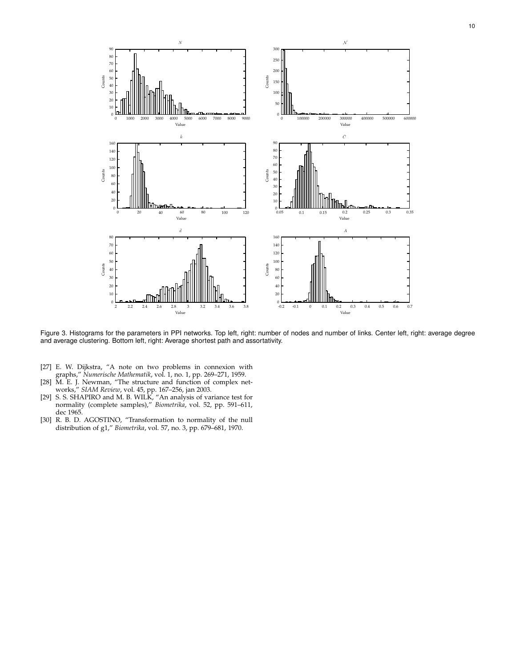

<span id="page-9-2"></span>Figure 3. Histograms for the parameters in PPI networks. Top left, right: number of nodes and number of links. Center left, right: average degree and average clustering. Bottom left, right: Average shortest path and assortativity.

- <span id="page-9-0"></span>[27] E. W. Dijkstra, "A note on two problems in connexion with graphs," *Numerische Mathematik*, vol. 1, no. 1, pp. 269–271, 1959.
- <span id="page-9-1"></span>[28] M. E. J. Newman, "The structure and function of complex networks," *SIAM Review*, vol. 45, pp. 167–256, jan 2003.
- <span id="page-9-3"></span>[29] S. S. SHAPIRO and M. B. WILK, "An analysis of variance test for normality (complete samples)," *Biometrika*, vol. 52, pp. 591–611, dec 1965.
- <span id="page-9-4"></span>[30] R. B. D. AGOSTINO, "Transformation to normality of the null distribution of g1," *Biometrika*, vol. 57, no. 3, pp. 679–681, 1970.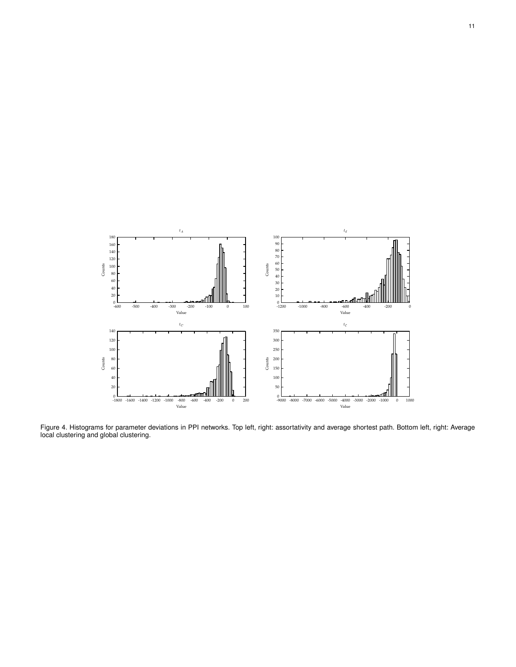

<span id="page-10-0"></span>Figure 4. Histograms for parameter deviations in PPI networks. Top left, right: assortativity and average shortest path. Bottom left, right: Average local clustering and global clustering.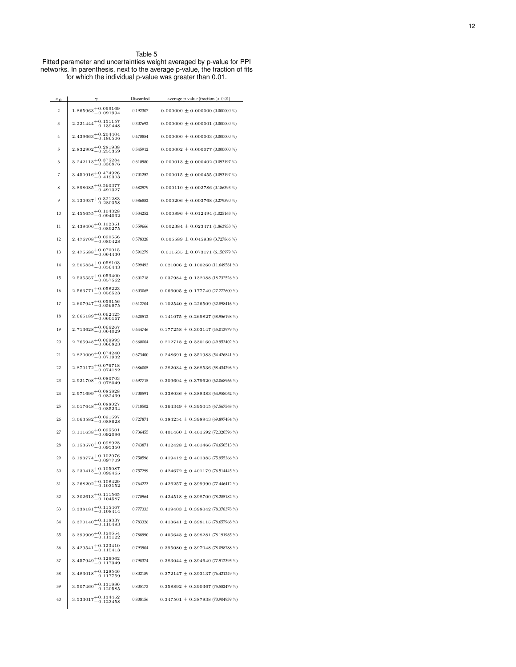<span id="page-11-0"></span>Fitted parameter and uncertainties weight averaged by p-value for PPI networks. In parenthesis, next to the average p-value, the fraction of fits for which the individual p-value was greater than 0.01.

| $x_0$ | $\gamma$                                          | Discarded | average p-value (fraction $> 0.01$ )  |
|-------|---------------------------------------------------|-----------|---------------------------------------|
| 2     | $1.865963^{+0.099169}$<br>0.091994                | 0.192307  | $0.000000 \pm 0.000000$ (0.000000 %)  |
| 3     | $2.221444^{+0.151157}_{0.151}$<br>$-0.139448$     | 0.307692  | $0.000000 \pm 0.000001$ (0.000000 %)  |
| 4     | $2.439663 + 0.204404$<br>$-0.186506$              | 0.470854  | $0.000000 \pm 0.000003$ (0.000000 %)  |
| 5     | $2.832902^{+0.281938}_{-0.271}$<br>$-0.255359$    | 0.545912  | $0.000002 \pm 0.000077$ (0.000000 %)  |
| 6     | $3.242113^{+0.375284}$<br>$-0.336876$             | 0.610980  | $0.000013 \pm 0.000402$ (0.093197 %)  |
| 7     | $3.450916^{+0.474926}$<br>$-0.419303$             | 0.701252  | $0.000015 \pm 0.000455$ (0.093197 %)  |
| 8     | $3.898085 + 0.560377$<br>$-0.491327$              | 0.682979  | $0.000110 \pm 0.002786$ (0.186393 %)  |
| 9     | $3.130937^{+0.321283}_{-0.272}$<br>$-0.280358$    | 0.586882  | $0.000206 \pm 0.003768$ (0.279590 %)  |
| 10    | $2.455655^{+0.104328}_{-0.001}$<br>$-0.094032$    | 0.534252  | $0.000896 \pm 0.012494$ (1.025163 %)  |
| 11    | $2.439406 + 0.102351$<br>$-0.089275$              | 0.559666  | $0.002384 \pm 0.023471$ (1.863933 %)  |
| 12    | $2.476708^{+0.090556}_{-0.022}$                   | 0.578328  | $0.005589 \pm 0.045938$ (3.727866 %)  |
| 13    | $2.475588^{+0.070015}$<br>$-0.064430$             | 0.591279  | $0.011535 \pm 0.073171$ (6.150979 %)  |
| 14    | $2.505834^{+0.058103}_{-0.071}$<br>$-0.056443$    | 0.599493  | $0.021006 \pm 0.100260$ (11.649581 %) |
| 15    | $2.535557^{+0.059400}$<br>$-0.057562$             | 0.601718  | $0.037984 \pm 0.132088$ (18.732526 %) |
| 16    | $2.563771^{+0.058223}$<br>$-0.056523$             | 0.603065  | $0.066005 \pm 0.177740$ (27.772600 %) |
| 17    | $2.607947^{+0.059156}_{-0.079156}$<br>$-0.056975$ | 0.612704  | $0.102540 \pm 0.226509$ (32.898416 %) |
| 18    | $2.665189^{+0.062425}$<br>$-0.060167$             | 0.628512  | $0.141075 \pm 0.269827$ (38.956198 %) |
| 19    | $2.713628^{+0.066267}_{-0.0017}$                  | 0.644746  | $0.177258 \pm 0.303147$ (45.013979 %) |
| 20    | $2.765948^{+0.069993}_{-0.066823}$                | 0.660004  | $0.212718 \pm 0.330160$ (49.953402 %) |
| 21    | $2.820009 + 0.074240$<br>$-0.071932$              | 0.673400  | $0.248691 \pm 0.351983$ (54.426841 %) |
| 22    | $2.870172^{+0.076718}_{-0.079}$<br>$-0.074182$    | 0.686005  | $0.282034 \pm 0.368536$ (58.434296 %) |
| 23    | $2.921708^{+0.080703}$<br>$-0.078049$             | 0.697715  | $0.309604 \pm 0.379620$ (62.068966 %) |
| 24    | $2.971699 + 0.085828$<br>$-0.082439$              | 0.708591  | $0.338036 \pm 0.388383$ (64.958062 %) |
| 25    | $3.017648^{+0.088027}_{-0.001}$<br>$-0.085234$    | 0.718502  | $0.364349 \pm 0.395045$ (67.567568 %) |
| 26    | $3.063582^{+0.091597}_{-0.001597}$<br>$-0.088628$ | 0.727871  | $0.384254 \pm 0.398943$ (69.897484 %) |
| 27    | $3.111638 + 0.095501$<br>$-0.092096$              | 0.736455  | $0.401460 \pm 0.401592$ (72.320596 %) |
| 28    | $3.153570^{+0.098928}_{-0.057}$<br>$-0.095350$    | 0.743871  | $0.412428 \pm 0.401466$ (74.650513 %) |
| 29    | $3.193774^{+0.102076}_{-0.02076}$                 | 0.750596  | $0.419412 \pm 0.401385$ (75.955266 %) |
| 30    | $3.230413^{+0.105087}_{-0.002087}$<br>$-0.099465$ | 0.757299  | $0.424672 \pm 0.401179$ (76.514445 %) |
| 31    | $3.268202 + 0.108429$<br>$- 0.103152$             | 0.764223  | $0.426257 \pm 0.399990$ (77.446412 %) |
| 32    | $3.302613^{+0.111565}$<br>$-0.104587$             | 0.770964  | $0.424518 \pm 0.398700$ (78.285182 %) |
| 33    | $3.338181 + 0.115467$<br>$-0.108414$              | 0.777333  | $0.419403 \pm 0.398042$ (78.378378 %) |
| 34    | $3.370140 + 0.118337$<br>$-0.110493$              | 0.783326  | $0.413641 \pm 0.398115$ (78.657968 %) |
| 35    | $3.399909 + 0.120654$<br>$-0.113122$              | 0.788990  | $0.405643 \pm 0.398281$ (78.191985 %) |
| 36    | $3.429541^{+0.123410}_{-0.111}$<br>$-0.115413$    | 0.793904  | $0.395080 \pm 0.397048$ (78.098788 %) |
| 37    | $3.457949^{+0.126062}$<br>$-0.117349$             | 0.798374  | $0.383044 \pm 0.394640$ (77.912395 %) |
| 38    | $3.483018 + 0.128546$<br>$-0.117759$              | 0.802189  | $0.372147 \pm 0.393137$ (76.421249 %) |
| 39    | $3.507460 + 0.131886$<br>$-0.120585$              | 0.805173  | $0.358892 \pm 0.390367$ (75.582479 %) |
| 40    | $3.533017^{+0.134452}_{-0.151}$<br>0.123458       | 0.808156  | $0.347501 \pm 0.387838$ (73.904939 %) |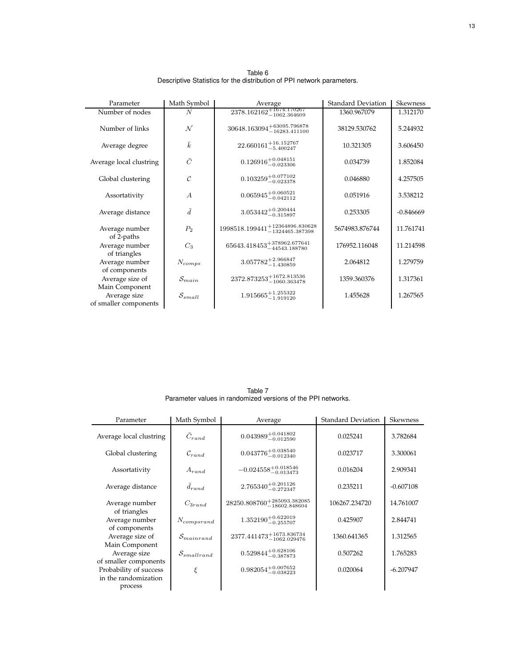| Parameter                             | Math Symbol           | Average                                               | <b>Standard Deviation</b> | <b>Skewness</b> |
|---------------------------------------|-----------------------|-------------------------------------------------------|---------------------------|-----------------|
| Number of nodes                       | N                     | $2378.162162_{-1062.364609}^{+1674.170267}$           | 1360.967079               | 1.312170        |
| Number of links                       | $\cal N$              | $30648.163094_{-16283.411100}^{+63095.796878}$        | 38129.530762              | 5.244932        |
| Average degree                        | $\bar{k}$             | $22.660161_{-5.400247}^{+16.152767}$                  | 10.321305                 | 3.606450        |
| Average local clustring               | $\bar{C}$             | $0.126916_{-0.023306}^{+0.048151}$                    | 0.034739                  | 1.852084        |
| Global clustering                     | $\mathcal{C}$         | $0.103259^{+0.077102}_{-0.023378}$                    | 0.046880                  | 4.257505        |
| Assortativity                         | $\overline{A}$        | $0.065945^{+0.060521}_{-0.042112}$                    | 0.051916                  | 3.538212        |
| Average distance                      | $\bar{d}$             | $3.053442^{+0.200444}_{-0.315897}$                    | 0.253305                  | $-0.846669$     |
| Average number<br>of 2-paths          | $P_2$                 | $1998518.199441_{-1324465.387398}^{+12364896.830628}$ | 5674983.876744            | 11.761741       |
| Average number<br>of triangles        | $C_3$                 | $65643.418453^{+378962.677641}_{-44543.188780}$       | 176952.116048             | 11.214598       |
| Average number<br>of components       | $N_{comps}$           | $3.057782^{+2.966847}_{-1.430859}$                    | 2.064812                  | 1.279759        |
| Average size of<br>Main Component     | $\mathcal{S}_{main}$  | $2372.873253_{-1060.363478}^{+1672.813536}$           | 1359.360376               | 1.317361        |
| Average size<br>of smaller components | $\mathcal{S}_{small}$ | $1.915665_{-1.919120}^{+1.255322}$                    | 1.455628                  | 1.267565        |
|                                       |                       |                                                       |                           |                 |

Table 6 Descriptive Statistics for the distribution of PPI network parameters.

<span id="page-12-0"></span> $\ddot{\phantom{a}}$ 

Table 7 Parameter values in randomized versions of the PPI networks.

<span id="page-12-1"></span>

| Parameter                                      | Math Symbol              | Average                                         | <b>Standard Deviation</b> | <b>Skewness</b> |
|------------------------------------------------|--------------------------|-------------------------------------------------|---------------------------|-----------------|
| Average local clustring                        | $\bar{C}_{rand}$         | $0.043989^{+0.041802}_{-0.012590}$              | 0.025241                  | 3.782684        |
| Global clustering                              | $\mathcal{C}_{rand}$     | $0.043776^{+0.038540}_{-0.012340}$              | 0.023717                  | 3.300061        |
| Assortativity                                  | $A_{rand}$               | $-0.024558^{+0.018546}_{-0.013473}$             | 0.016204                  | 2.909341        |
| Average distance                               | $d_{rand}$               | $2.765340^{+0.201126}_{-0.272347}$              | 0.235211                  | $-0.607108$     |
| Average number<br>of triangles                 | $C_{3rand}$              | $28250.808760^{+285093.382085}_{-18602.848604}$ | 106267.234720             | 14.761007       |
| Average number<br>of components                | $N_{compsrand}$          | $1.352190^{+0.622019}_{-0.255707}$              | 0.425907                  | 2.844741        |
| Average size of<br>Main Component              | $\mathcal{S}_{maintand}$ | $2377.441473_{-1062.029476}^{+1673.836734}$     | 1360.641365               | 1.312565        |
| Average size<br>of smaller components          | $S_{smallrand}$          | $0.529844^{+0.628106}_{-0.387873}$              | 0.507262                  | 1.765283        |
| Probability of success<br>in the randomization | ξ                        | $0.982054^{+0.007652}_{-0.038223}$              | 0.020064                  | $-6.207947$     |
| process                                        |                          |                                                 |                           |                 |